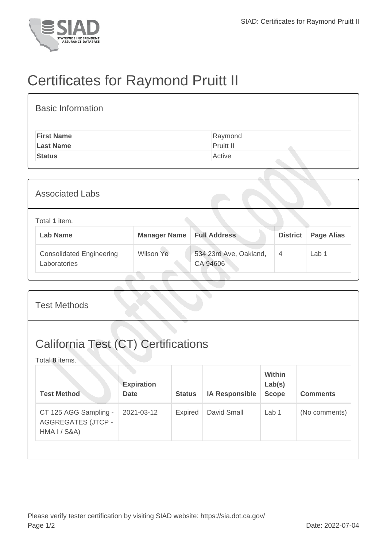

## Certificates for Raymond Pruitt II

| <b>Basic Information</b> |           |
|--------------------------|-----------|
| <b>First Name</b>        | Raymond   |
| <b>Last Name</b>         | Pruitt II |
| <b>Status</b>            | Active    |

| <b>Associated Labs</b>                          |                     |                                    |                 |                   |  |
|-------------------------------------------------|---------------------|------------------------------------|-----------------|-------------------|--|
| Total 1 item.<br><b>Lab Name</b>                | <b>Manager Name</b> | <b>Full Address</b>                | <b>District</b> | <b>Page Alias</b> |  |
| <b>Consolidated Engineering</b><br>Laboratories | Wilson Ye           | 534 23rd Ave, Oakland,<br>CA 94606 | 4               | Lab <sub>1</sub>  |  |

| <b>Test Methods</b>                                                           |                                  |                |                       |                                  |                 |  |
|-------------------------------------------------------------------------------|----------------------------------|----------------|-----------------------|----------------------------------|-----------------|--|
| <b>California Test (CT) Certifications</b><br>Total 8 items.                  |                                  |                |                       |                                  |                 |  |
| <b>Test Method</b>                                                            | <b>Expiration</b><br><b>Date</b> | <b>Status</b>  | <b>IA Responsible</b> | Within<br>Lab(s)<br><b>Scope</b> | <b>Comments</b> |  |
| CT 125 AGG Sampling -<br><b>AGGREGATES (JTCP -</b><br><b>HMA I / S&amp;A)</b> | 2021-03-12                       | <b>Expired</b> | David Small           | Lab 1                            | (No comments)   |  |
|                                                                               |                                  |                |                       |                                  |                 |  |